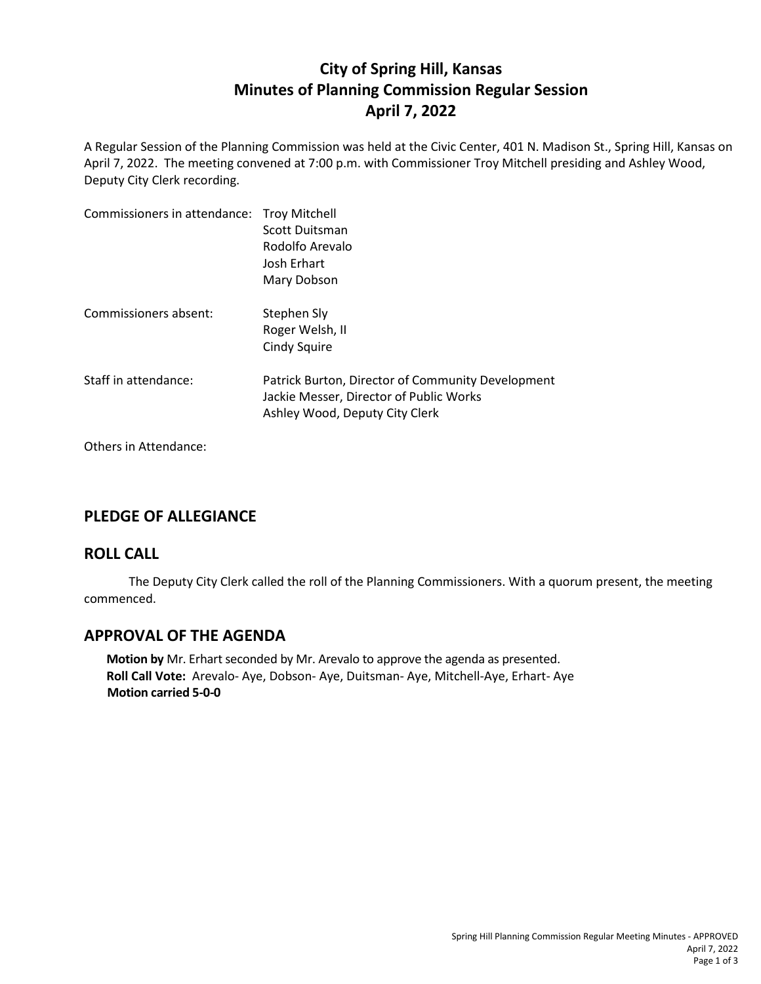# **City of Spring Hill, Kansas Minutes of Planning Commission Regular Session April 7, 2022**

A Regular Session of the Planning Commission was held at the Civic Center, 401 N. Madison St., Spring Hill, Kansas on April 7, 2022. The meeting convened at 7:00 p.m. with Commissioner Troy Mitchell presiding and Ashley Wood, Deputy City Clerk recording.

| Commissioners in attendance: Troy Mitchell | Scott Duitsman<br>Rodolfo Arevalo<br>Josh Erhart<br>Mary Dobson                                                                |
|--------------------------------------------|--------------------------------------------------------------------------------------------------------------------------------|
| Commissioners absent:                      | Stephen Sly<br>Roger Welsh, II<br>Cindy Squire                                                                                 |
| Staff in attendance:                       | Patrick Burton, Director of Community Development<br>Jackie Messer, Director of Public Works<br>Ashley Wood, Deputy City Clerk |

Others in Attendance:

### **PLEDGE OF ALLEGIANCE**

### **ROLL CALL**

The Deputy City Clerk called the roll of the Planning Commissioners. With a quorum present, the meeting commenced.

### **APPROVAL OF THE AGENDA**

**Motion by** Mr. Erhart seconded by Mr. Arevalo to approve the agenda as presented. **Roll Call Vote:** Arevalo- Aye, Dobson- Aye, Duitsman- Aye, Mitchell-Aye, Erhart- Aye **Motion carried 5-0-0**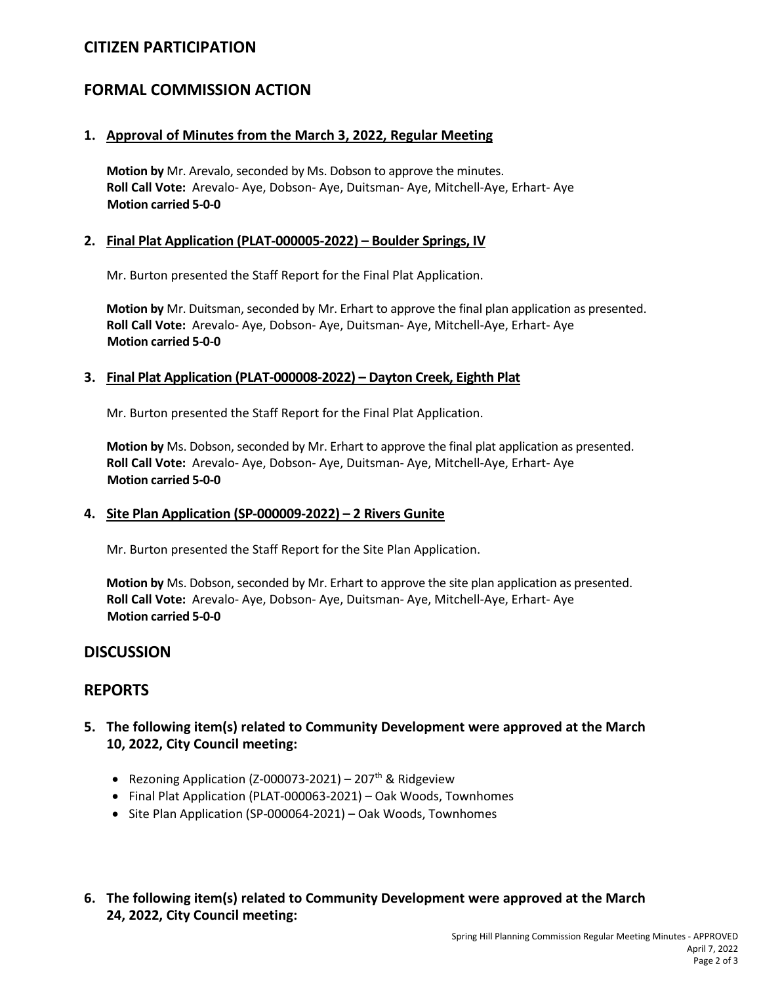# **CITIZEN PARTICIPATION**

# **FORMAL COMMISSION ACTION**

#### **1. Approval of Minutes from the March 3, 2022, Regular Meeting**

**Motion by** Mr. Arevalo, seconded by Ms. Dobson to approve the minutes. **Roll Call Vote:** Arevalo- Aye, Dobson- Aye, Duitsman- Aye, Mitchell-Aye, Erhart- Aye **Motion carried 5-0-0**

#### **2. Final Plat Application (PLAT-000005-2022) – Boulder Springs, IV**

Mr. Burton presented the Staff Report for the Final Plat Application.

**Motion by** Mr. Duitsman, seconded by Mr. Erhart to approve the final plan application as presented. **Roll Call Vote:** Arevalo- Aye, Dobson- Aye, Duitsman- Aye, Mitchell-Aye, Erhart- Aye **Motion carried 5-0-0**

#### **3. Final Plat Application (PLAT-000008-2022) – Dayton Creek, Eighth Plat**

Mr. Burton presented the Staff Report for the Final Plat Application.

**Motion by** Ms. Dobson, seconded by Mr. Erhart to approve the final plat application as presented. **Roll Call Vote:** Arevalo- Aye, Dobson- Aye, Duitsman- Aye, Mitchell-Aye, Erhart- Aye **Motion carried 5-0-0**

#### **4. Site Plan Application (SP-000009-2022) – 2 Rivers Gunite**

Mr. Burton presented the Staff Report for the Site Plan Application.

**Motion by** Ms. Dobson, seconded by Mr. Erhart to approve the site plan application as presented. **Roll Call Vote:** Arevalo- Aye, Dobson- Aye, Duitsman- Aye, Mitchell-Aye, Erhart- Aye **Motion carried 5-0-0**

### **DISCUSSION**

### **REPORTS**

- **5. The following item(s) related to Community Development were approved at the March 10, 2022, City Council meeting:**
	- Rezoning Application (Z-000073-2021) 207<sup>th</sup> & Ridgeview
	- Final Plat Application (PLAT-000063-2021) Oak Woods, Townhomes
	- Site Plan Application (SP-000064-2021) Oak Woods, Townhomes
- **6. The following item(s) related to Community Development were approved at the March 24, 2022, City Council meeting:**